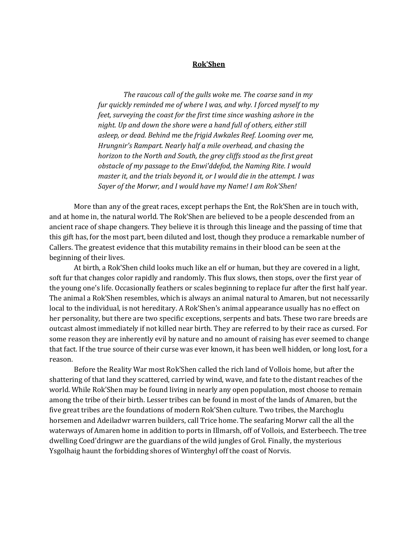### **Rok'Shen**

 *The raucous call of the gulls woke me. The coarse sand in my fur quickly reminded me of where I was, and why. I forced myself to my feet, surveying the coast for the first time since washing ashore in the night. Up and down the shore were a hand full of others, either still asleep, or dead. Behind me the frigid Awkales Reef. Looming over me, Hrungnir's Rampart. Nearly half a mile overhead, and chasing the horizon to the North and South, the grey cliffs stood as the first great obstacle of my passage to the Enwi'ddefod, the Naming Rite. I would master it, and the trials beyond it, or I would die in the attempt. I was Sayer of the Morwr, and I would have my Name! I am Rok'Shen!*

More than any of the great races, except perhaps the Ent, the Rok'Shen are in touch with, and at home in, the natural world. The Rok'Shen are believed to be a people descended from an ancient race of shape changers. They believe it is through this lineage and the passing of time that this gift has, for the most part, been diluted and lost, though they produce a remarkable number of Callers. The greatest evidence that this mutability remains in their blood can be seen at the beginning of their lives.

 At birth, a Rok'Shen child looks much like an elf or human, but they are covered in a light, soft fur that changes color rapidly and randomly. This flux slows, then stops, over the first year of the young one's life. Occasionally feathers or scales beginning to replace fur after the first half year. The animal a Rok'Shen resembles, which is always an animal natural to Amaren, but not necessarily local to the individual, is not hereditary. A Rok'Shen's animal appearance usually has no effect on her personality, but there are two specific exceptions, serpents and bats. These two rare breeds are outcast almost immediately if not killed near birth. They are referred to by their race as cursed. For some reason they are inherently evil by nature and no amount of raising has ever seemed to change that fact. If the true source of their curse was ever known, it has been well hidden, or long lost, for a reason.

 Before the Reality War most Rok'Shen called the rich land of Vollois home, but after the shattering of that land they scattered, carried by wind, wave, and fate to the distant reaches of the world. While Rok'Shen may be found living in nearly any open population, most choose to remain among the tribe of their birth. Lesser tribes can be found in most of the lands of Amaren, but the five great tribes are the foundations of modern Rok'Shen culture. Two tribes, the Marchoglu horsemen and Adeiladwr warren builders, call Trice home. The seafaring Morwr call the all the waterways of Amaren home in addition to ports in Illmarsh, off of Vollois, and Esterbeech. The tree dwelling Coed'dringwr are the guardians of the wild jungles of Grol. Finally, the mysterious Ysgolhaig haunt the forbidding shores of Winterghyl off the coast of Norvis.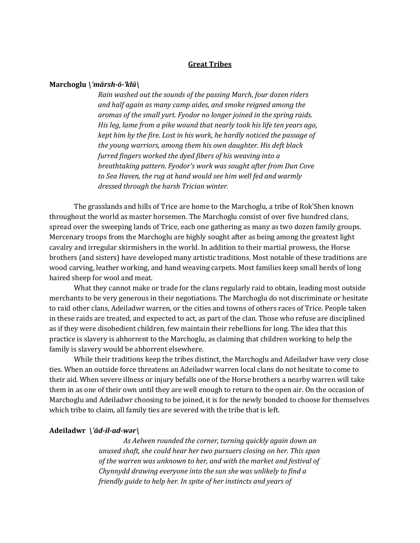# **Great Tribes**

### **Marchoglu** *\ˈmärsh-ō-ˈklü\*

*Rain washed out the sounds of the passing March, four dozen riders and half again as many camp aides, and smoke reigned among the aromas of the small yurt. Fyodor no longer joined in the spring raids. His leg, lame from a pike wound that nearly took his life ten years ago, kept him by the fire. Lost in his work, he hardly noticed the passage of the young warriors, among them his own daughter. His deft black furred fingers worked the dyed fibers of his weaving into a breathtaking pattern. Fyodor's work was sought after from Dun Cove to Sea Haven, the rug at hand would see him well fed and warmly dressed through the harsh Trician winter.*

The grasslands and hills of Trice are home to the Marchoglu, a tribe of Rok'Shen known throughout the world as master horsemen. The Marchoglu consist of over five hundred clans, spread over the sweeping lands of Trice, each one gathering as many as two dozen family groups. Mercenary troops from the Marchoglu are highly sought after as being among the greatest light cavalry and irregular skirmishers in the world. In addition to their martial prowess, the Horse brothers (and sisters) have developed many artistic traditions. Most notable of these traditions are wood carving, leather working, and hand weaving carpets. Most families keep small herds of long haired sheep for wool and meat.

 What they cannot make or trade for the clans regularly raid to obtain, leading most outside merchants to be very generous in their negotiations. The Marchoglu do not discriminate or hesitate to raid other clans, Adeiladwr warren, or the cities and towns of others races of Trice. People taken in these raids are treated, and expected to act, as part of the clan. Those who refuse are disciplined as if they were disobedient children, few maintain their rebellions for long. The idea that this practice is slavery is abhorrent to the Marchoglu, as claiming that children working to help the family is slavery would be abhorrent elsewhere.

 While their traditions keep the tribes distinct, the Marchoglu and Adeiladwr have very close ties. When an outside force threatens an Adeiladwr warren local clans do not hesitate to come to their aid. When severe illness or injury befalls one of the Horse brothers a nearby warren will take them in as one of their own until they are well enough to return to the open air. On the occasion of Marchoglu and Adeiladwr choosing to be joined, it is for the newly bonded to choose for themselves which tribe to claim, all family ties are severed with the tribe that is left.

#### **Adeiladwr** *\ˈād-il-ad-wər\*

 *As Aelwen rounded the corner, turning quickly again down an unused shaft, she could hear her two pursuers closing on her. This span of the warren was unknown to her, and with the market and festival of Chynnydd drawing everyone into the sun she was unlikely to find a friendly guide to help her. In spite of her instincts and years of*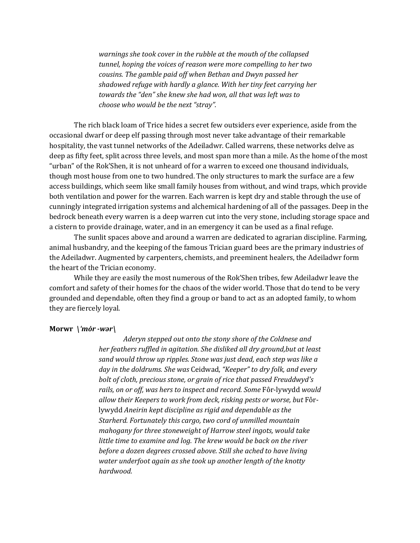*warnings she took cover in the rubble at the mouth of the collapsed tunnel, hoping the voices of reason were more compelling to her two cousins. The gamble paid off when Bethan and Dwyn passed her shadowed refuge with hardly a glance. With her tiny feet carrying her towards the "den" she knew she had won, all that was left was to choose who would be the next "stray".*

The rich black loam of Trice hides a secret few outsiders ever experience, aside from the occasional dwarf or deep elf passing through most never take advantage of their remarkable hospitality, the vast tunnel networks of the Adeiladwr. Called warrens, these networks delve as deep as fifty feet, split across three levels, and most span more than a mile. As the home of the most "urban" of the Rok'Shen, it is not unheard of for a warren to exceed one thousand individuals, though most house from one to two hundred. The only structures to mark the surface are a few access buildings, which seem like small family houses from without, and wind traps, which provide both ventilation and power for the warren. Each warren is kept dry and stable through the use of cunningly integrated irrigation systems and alchemical hardening of all of the passages. Deep in the bedrock beneath every warren is a deep warren cut into the very stone, including storage space and a cistern to provide drainage, water, and in an emergency it can be used as a final refuge.

 The sunlit spaces above and around a warren are dedicated to agrarian discipline. Farming, animal husbandry, and the keeping of the famous Trician guard bees are the primary industries of the Adeiladwr. Augmented by carpenters, chemists, and preeminent healers, the Adeiladwr form the heart of the Trician economy.

 While they are easily the most numerous of the Rok'Shen tribes, few Adeiladwr leave the comfort and safety of their homes for the chaos of the wider world. Those that do tend to be very grounded and dependable, often they find a group or band to act as an adopted family, to whom they are fiercely loyal.

### **Morwr** *\ˈmȯr -wər\*

 *Aderyn stepped out onto the stony shore of the Coldnese and her feathers ruffled in agitation. She disliked all dry ground,but at least sand would throw up ripples. Stone was just dead, each step was like a day in the doldrums. She was* Ceidwad, *"Keeper" to dry folk, and every bolt of cloth, precious stone, or grain of rice that passed Freuddwyd's rails, on or off, was hers to inspect and record. Some* Fôr-lywydd *would allow their Keepers to work from deck, risking pests or worse, but* Fôrlywydd *Aneirin kept discipline as rigid and dependable as the Starherd. Fortunately this cargo, two cord of unmilled mountain mahogany for three stoneweight of Harrow steel ingots, would take little time to examine and log. The krew would be back on the river before a dozen degrees crossed above. Still she ached to have living water underfoot again as she took up another length of the knotty hardwood.*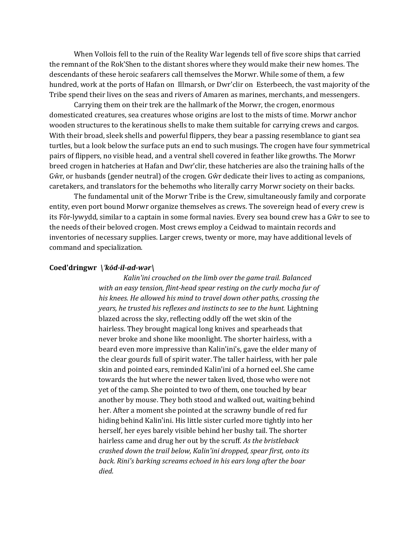When Vollois fell to the ruin of the Reality War legends tell of five score ships that carried the remnant of the Rok'Shen to the distant shores where they would make their new homes. The descendants of these heroic seafarers call themselves the Morwr. While some of them, a few hundred, work at the ports of Hafan on Illmarsh, or Dwr'clir on Esterbeech, the vast majority of the Tribe spend their lives on the seas and rivers of Amaren as marines, merchants, and messengers.

 Carrying them on their trek are the hallmark of the Morwr, the crogen, enormous domesticated creatures, sea creatures whose origins are lost to the mists of time. Morwr anchor wooden structures to the keratinous shells to make them suitable for carrying crews and cargos. With their broad, sleek shells and powerful flippers, they bear a passing resemblance to giant sea turtles, but a look below the surface puts an end to such musings. The crogen have four symmetrical pairs of flippers, no visible head, and a ventral shell covered in feather like growths. The Morwr breed crogen in hatcheries at Hafan and Dwr'clir, these hatcheries are also the training halls of the Gŵr, or husbands (gender neutral) of the crogen. Gŵr dedicate their lives to acting as companions, caretakers, and translators for the behemoths who literally carry Morwr society on their backs.

 The fundamental unit of the Morwr Tribe is the Crew, simultaneously family and corporate entity, even port bound Morwr organize themselves as crews. The sovereign head of every crew is its Fôr-lywydd, similar to a captain in some formal navies. Every sea bound crew has a Gŵr to see to the needs of their beloved crogen. Most crews employ a Ceidwad to maintain records and inventories of necessary supplies. Larger crews, twenty or more, may have additional levels of command and specialization.

#### **Coed'dringwr** *\ˈkōd-il-ad-wər\*

 *Kalin'ini crouched on the limb over the game trail. Balanced with an easy tension, flint-head spear resting on the curly mocha fur of his knees. He allowed his mind to travel down other paths, crossing the years, he trusted his reflexes and instincts to see to the hunt.* Lightning blazed across the sky, reflecting oddly off the wet skin of the hairless. They brought magical long knives and spearheads that never broke and shone like moonlight. The shorter hairless, with a beard even more impressive than Kalin'ini's, gave the elder many of the clear gourds full of spirit water. The taller hairless, with her pale skin and pointed ears, reminded Kalin'ini of a horned eel. She came towards the hut where the newer taken lived, those who were not yet of the camp. She pointed to two of them, one touched by bear another by mouse. They both stood and walked out, waiting behind her. After a moment she pointed at the scrawny bundle of red fur hiding behind Kalin'ini. His little sister curled more tightly into her herself, her eyes barely visible behind her bushy tail. The shorter hairless came and drug her out by the scruff. *As the bristleback crashed down the trail below, Kalin'ini dropped, spear first, onto its back. Rini's barking screams echoed in his ears long after the boar died.*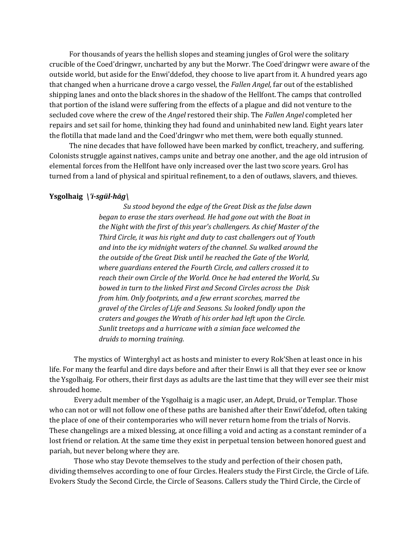For thousands of years the hellish slopes and steaming jungles of Grol were the solitary crucible of the Coed'dringwr, uncharted by any but the Morwr. The Coed'dringwr were aware of the outside world, but aside for the Enwi'ddefod, they choose to live apart from it. A hundred years ago that changed when a hurricane drove a cargo vessel, the *Fallen Angel,* far out of the established shipping lanes and onto the black shores in the shadow of the Hellfont. The camps that controlled that portion of the island were suffering from the effects of a plague and did not venture to the secluded cove where the crew of the *Angel* restored their ship. The *Fallen Angel* completed her repairs and set sail for home, thinking they had found and uninhabited new land. Eight years later the flotilla that made land and the Coed'dringwr who met them, were both equally stunned.

 The nine decades that have followed have been marked by conflict, treachery, and suffering. Colonists struggle against natives, camps unite and betray one another, and the age old intrusion of elemental forces from the Hellfont have only increased over the last two score years. Grol has turned from a land of physical and spiritual refinement, to a den of outlaws, slavers, and thieves.

## **Ysgolhaig** *\ˈi-sgül-hāg\*

 *Su stood beyond the edge of the Great Disk as the false dawn began to erase the stars overhead. He had gone out with the Boat in the Night with the first of this year's challengers. As chief Master of the Third Circle, it was his right and duty to cast challengers out of Youth and into the icy midnight waters of the channel. Su walked around the the outside of the Great Disk until he reached the Gate of the World, where guardians entered the Fourth Circle, and callers crossed it to reach their own Circle of the World. Once he had entered the World, Su bowed in turn to the linked First and Second Circles across the Disk from him. Only footprints, and a few errant scorches, marred the gravel of the Circles of Life and Seasons. Su looked fondly upon the craters and gouges the Wrath of his order had left upon the Circle. Sunlit treetops and a hurricane with a simian face welcomed the druids to morning training.*

The mystics of Winterghyl act as hosts and minister to every Rok'Shen at least once in his life. For many the fearful and dire days before and after their Enwi is all that they ever see or know the Ysgolhaig. For others, their first days as adults are the last time that they will ever see their mist shrouded home.

 Every adult member of the Ysgolhaig is a magic user, an Adept, Druid, or Templar. Those who can not or will not follow one of these paths are banished after their Enwi'ddefod, often taking the place of one of their contemporaries who will never return home from the trials of Norvis. These changelings are a mixed blessing, at once filling a void and acting as a constant reminder of a lost friend or relation. At the same time they exist in perpetual tension between honored guest and pariah, but never belong where they are.

 Those who stay Devote themselves to the study and perfection of their chosen path, dividing themselves according to one of four Circles. Healers study the First Circle, the Circle of Life. Evokers Study the Second Circle, the Circle of Seasons. Callers study the Third Circle, the Circle of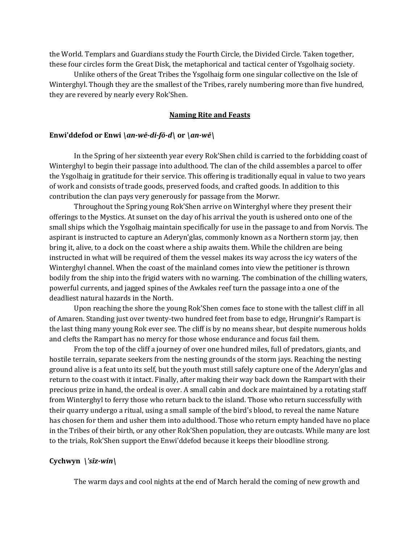the World. Templars and Guardians study the Fourth Circle, the Divided Circle. Taken together, these four circles form the Great Disk, the metaphorical and tactical center of Ysgolhaig society.

 Unlike others of the Great Tribes the Ysgolhaig form one singular collective on the Isle of Winterghyl. Though they are the smallest of the Tribes, rarely numbering more than five hundred, they are revered by nearly every Rok'Shen.

### **Naming Rite and Feasts**

### **Enwi'ddefod or Enwi** *\an-wē-di-fō-d\* **or** *\an-wē\*

In the Spring of her sixteenth year every Rok'Shen child is carried to the forbidding coast of Winterghyl to begin their passage into adulthood. The clan of the child assembles a parcel to offer the Ysgolhaig in gratitude for their service. This offering is traditionally equal in value to two years of work and consists of trade goods, preserved foods, and crafted goods. In addition to this contribution the clan pays very generously for passage from the Morwr.

 Throughout the Spring young Rok'Shen arrive on Winterghyl where they present their offerings to the Mystics. At sunset on the day of his arrival the youth is ushered onto one of the small ships which the Ysgolhaig maintain specifically for use in the passage to and from Norvis. The aspirant is instructed to capture an Aderyn'glas, commonly known as a Northern storm jay, then bring it, alive, to a dock on the coast where a ship awaits them. While the children are being instructed in what will be required of them the vessel makes its way across the icy waters of the Winterghyl channel. When the coast of the mainland comes into view the petitioner is thrown bodily from the ship into the frigid waters with no warning. The combination of the chilling waters, powerful currents, and jagged spines of the Awkales reef turn the passage into a one of the deadliest natural hazards in the North.

 Upon reaching the shore the young Rok'Shen comes face to stone with the tallest cliff in all of Amaren. Standing just over twenty-two hundred feet from base to edge, Hrungnir's Rampart is the last thing many young Rok ever see. The cliff is by no means shear, but despite numerous holds and clefts the Rampart has no mercy for those whose endurance and focus fail them.

 From the top of the cliff a journey of over one hundred miles, full of predators, giants, and hostile terrain, separate seekers from the nesting grounds of the storm jays. Reaching the nesting ground alive is a feat unto its self, but the youth must still safely capture one of the Aderyn'glas and return to the coast with it intact. Finally, after making their way back down the Rampart with their precious prize in hand, the ordeal is over. A small cabin and dock are maintained by a rotating staff from Winterghyl to ferry those who return back to the island. Those who return successfully with their quarry undergo a ritual, using a small sample of the bird's blood, to reveal the name Nature has chosen for them and usher them into adulthood. Those who return empty handed have no place in the Tribes of their birth, or any other Rok'Shen population, they are outcasts. While many are lost to the trials, Rok'Shen support the Enwi'ddefod because it keeps their bloodline strong.

### **Cychwyn** *\ˈsīz-win\*

The warm days and cool nights at the end of March herald the coming of new growth and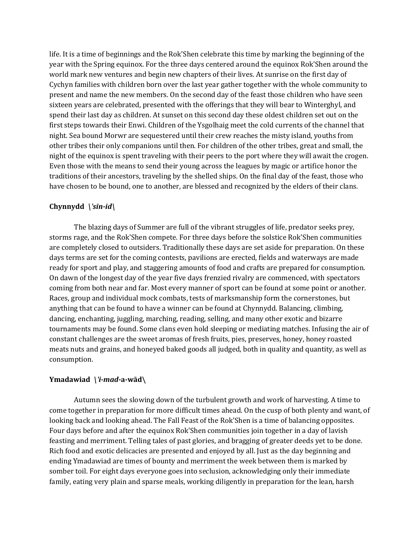life. It is a time of beginnings and the Rok'Shen celebrate this time by marking the beginning of the year with the Spring equinox. For the three days centered around the equinox Rok'Shen around the world mark new ventures and begin new chapters of their lives. At sunrise on the first day of Cychyn families with children born over the last year gather together with the whole community to present and name the new members. On the second day of the feast those children who have seen sixteen years are celebrated, presented with the offerings that they will bear to Winterghyl, and spend their last day as children. At sunset on this second day these oldest children set out on the first steps towards their Enwi. Children of the Ysgolhaig meet the cold currents of the channel that night. Sea bound Morwr are sequestered until their crew reaches the misty island, youths from other tribes their only companions until then. For children of the other tribes, great and small, the night of the equinox is spent traveling with their peers to the port where they will await the crogen. Even those with the means to send their young across the leagues by magic or artifice honor the traditions of their ancestors, traveling by the shelled ships. On the final day of the feast, those who have chosen to be bound, one to another, are blessed and recognized by the elders of their clans.

# **Chynnydd** *\ˈsīn-id\*

 The blazing days of Summer are full of the vibrant struggles of life, predator seeks prey, storms rage, and the Rok'Shen compete. For three days before the solstice Rok'Shen communities are completely closed to outsiders. Traditionally these days are set aside for preparation. On these days terms are set for the coming contests, pavilions are erected, fields and waterways are made ready for sport and play, and staggering amounts of food and crafts are prepared for consumption. On dawn of the longest day of the year five days frenzied rivalry are commenced, with spectators coming from both near and far. Most every manner of sport can be found at some point or another. Races, group and individual mock combats, tests of marksmanship form the cornerstones, but anything that can be found to have a winner can be found at Chynnydd. Balancing, climbing, dancing, enchanting, juggling, marching, reading, selling, and many other exotic and bizarre tournaments may be found. Some clans even hold sleeping or mediating matches. Infusing the air of constant challenges are the sweet aromas of fresh fruits, pies, preserves, honey, honey roasted meats nuts and grains, and honeyed baked goods all judged, both in quality and quantity, as well as consumption.

## **Ymadawiad** *\ˈi-mad-***a-wād\**

Autumn sees the slowing down of the turbulent growth and work of harvesting. A time to come together in preparation for more difficult times ahead. On the cusp of both plenty and want, of looking back and looking ahead. The Fall Feast of the Rok'Shen is a time of balancing opposites. Four days before and after the equinox Rok'Shen communities join together in a day of lavish feasting and merriment. Telling tales of past glories, and bragging of greater deeds yet to be done. Rich food and exotic delicacies are presented and enjoyed by all. Just as the day beginning and ending Ymadawiad are times of bounty and merriment the week between them is marked by somber toil. For eight days everyone goes into seclusion, acknowledging only their immediate family, eating very plain and sparse meals, working diligently in preparation for the lean, harsh